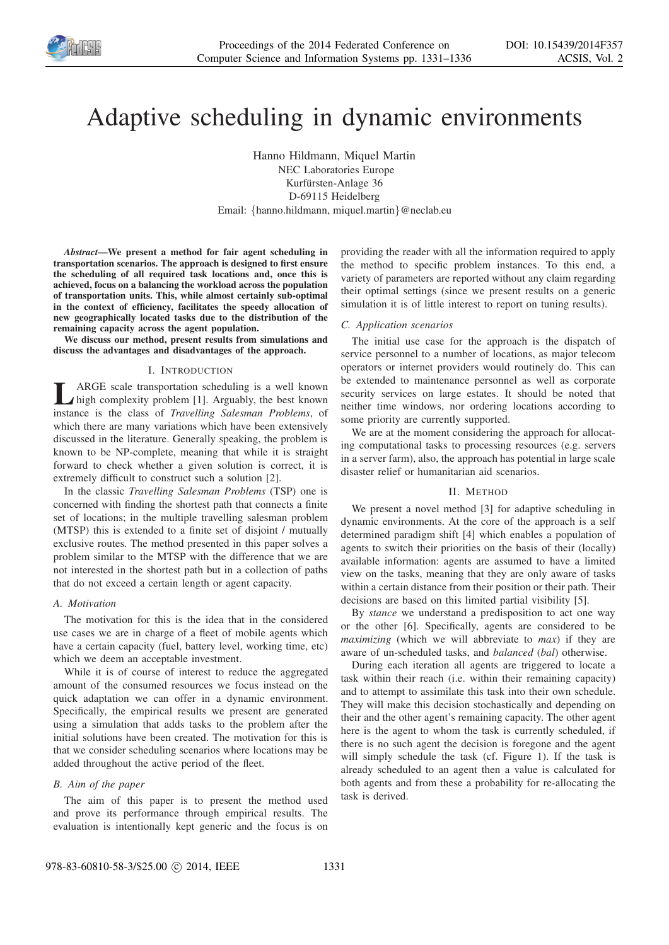

# Adaptive scheduling in dynamic environments

Hanno Hildmann, Miquel Martin NEC Laboratories Europe Kurfürsten-Anlage 36 D-69115 Heidelberg Email: {hanno.hildmann, miquel.martin}@neclab.eu

*Abstract*—We present a method for fair agent scheduling in transportation scenarios. The approach is designed to first ensure the scheduling of all required task locations and, once this is achieved, focus on a balancing the workload across the population of transportation units. This, while almost certainly sub-optimal in the context of efficiency, facilitates the speedy allocation of new geographically located tasks due to the distribution of the remaining capacity across the agent population.

We discuss our method, present results from simulations and discuss the advantages and disadvantages of the approach.

### I. INTRODUCTION

**LARGE** scale transportation scheduling is a well known instance is the class of *Travelling Salesman Problems*, of ARGE scale transportation scheduling is a well known high complexity problem [1]. Arguably, the best known which there are many variations which have been extensively discussed in the literature. Generally speaking, the problem is known to be NP-complete, meaning that while it is straight forward to check whether a given solution is correct, it is extremely difficult to construct such a solution [2].

In the classic *Travelling Salesman Problems* (TSP) one is concerned with finding the shortest path that connects a finite set of locations; in the multiple travelling salesman problem (MTSP) this is extended to a finite set of disjoint / mutually exclusive routes. The method presented in this paper solves a problem similar to the MTSP with the difference that we are not interested in the shortest path but in a collection of paths that do not exceed a certain length or agent capacity.

#### *A. Motivation*

The motivation for this is the idea that in the considered use cases we are in charge of a fleet of mobile agents which have a certain capacity (fuel, battery level, working time, etc) which we deem an acceptable investment.

While it is of course of interest to reduce the aggregated amount of the consumed resources we focus instead on the quick adaptation we can offer in a dynamic environment. Specifically, the empirical results we present are generated using a simulation that adds tasks to the problem after the initial solutions have been created. The motivation for this is that we consider scheduling scenarios where locations may be added throughout the active period of the fleet.

## *B. Aim of the paper*

The aim of this paper is to present the method used and prove its performance through empirical results. The evaluation is intentionally kept generic and the focus is on providing the reader with all the information required to apply the method to specific problem instances. To this end, a variety of parameters are reported without any claim regarding their optimal settings (since we present results on a generic simulation it is of little interest to report on tuning results).

## *C. Application scenarios*

The initial use case for the approach is the dispatch of service personnel to a number of locations, as major telecom operators or internet providers would routinely do. This can be extended to maintenance personnel as well as corporate security services on large estates. It should be noted that neither time windows, nor ordering locations according to some priority are currently supported.

We are at the moment considering the approach for allocating computational tasks to processing resources (e.g. servers in a server farm), also, the approach has potential in large scale disaster relief or humanitarian aid scenarios.

## II. METHOD

We present a novel method [3] for adaptive scheduling in dynamic environments. At the core of the approach is a self determined paradigm shift [4] which enables a population of agents to switch their priorities on the basis of their (locally) available information: agents are assumed to have a limited view on the tasks, meaning that they are only aware of tasks within a certain distance from their position or their path. Their decisions are based on this limited partial visibility [5].

By *stance* we understand a predisposition to act one way or the other [6]. Specifically, agents are considered to be *maximizing* (which we will abbreviate to *max*) if they are aware of un-scheduled tasks, and *balanced* (*bal*) otherwise.

During each iteration all agents are triggered to locate a task within their reach (i.e. within their remaining capacity) and to attempt to assimilate this task into their own schedule. They will make this decision stochastically and depending on their and the other agent's remaining capacity. The other agent here is the agent to whom the task is currently scheduled, if there is no such agent the decision is foregone and the agent will simply schedule the task (cf. Figure 1). If the task is already scheduled to an agent then a value is calculated for both agents and from these a probability for re-allocating the task is derived.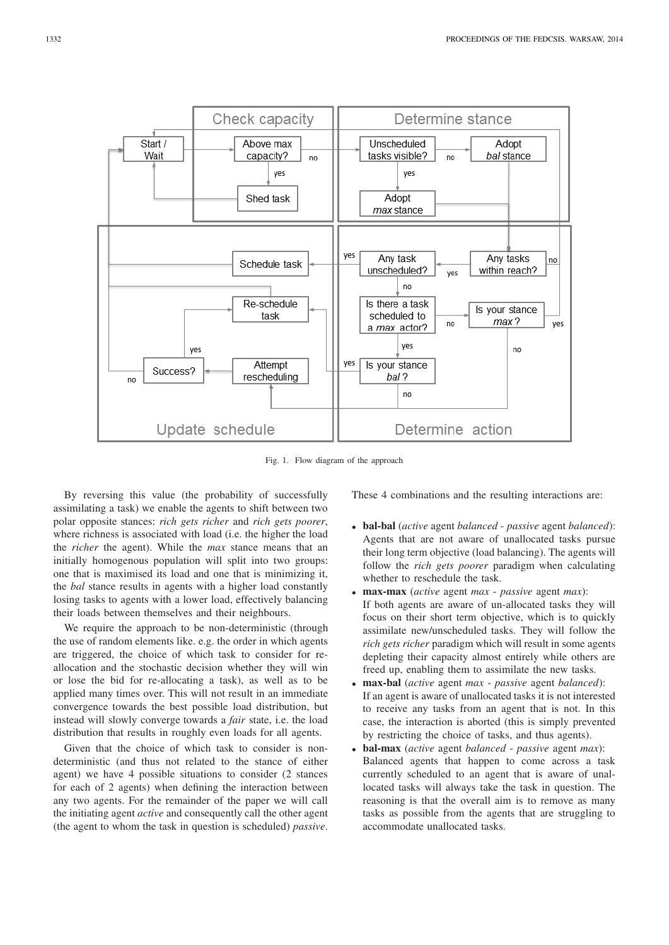

Fig. 1. Flow diagram of the approach

By reversing this value (the probability of successfully assimilating a task) we enable the agents to shift between two polar opposite stances: *rich gets richer* and *rich gets poorer*, where richness is associated with load (i.e. the higher the load the *richer* the agent). While the *max* stance means that an initially homogenous population will split into two groups: one that is maximised its load and one that is minimizing it, the *bal* stance results in agents with a higher load constantly losing tasks to agents with a lower load, effectively balancing their loads between themselves and their neighbours.

We require the approach to be non-deterministic (through the use of random elements like. e.g. the order in which agents are triggered, the choice of which task to consider for reallocation and the stochastic decision whether they will win or lose the bid for re-allocating a task), as well as to be applied many times over. This will not result in an immediate convergence towards the best possible load distribution, but instead will slowly converge towards a *fair* state, i.e. the load distribution that results in roughly even loads for all agents.

Given that the choice of which task to consider is nondeterministic (and thus not related to the stance of either agent) we have 4 possible situations to consider (2 stances for each of 2 agents) when defining the interaction between any two agents. For the remainder of the paper we will call the initiating agent *active* and consequently call the other agent (the agent to whom the task in question is scheduled) *passive*. These 4 combinations and the resulting interactions are:

- bal-bal (*active* agent *balanced passive* agent *balanced*): Agents that are not aware of unallocated tasks pursue their long term objective (load balancing). The agents will follow the *rich gets poorer* paradigm when calculating whether to reschedule the task.
- max-max (*active* agent *max passive* agent *max*): If both agents are aware of un-allocated tasks they will focus on their short term objective, which is to quickly assimilate new/unscheduled tasks. They will follow the *rich gets richer* paradigm which will result in some agents depleting their capacity almost entirely while others are freed up, enabling them to assimilate the new tasks.
- max-bal (*active* agent *max passive* agent *balanced*): If an agent is aware of unallocated tasks it is not interested to receive any tasks from an agent that is not. In this case, the interaction is aborted (this is simply prevented by restricting the choice of tasks, and thus agents).
- bal-max (*active* agent *balanced passive* agent *max*): Balanced agents that happen to come across a task currently scheduled to an agent that is aware of unallocated tasks will always take the task in question. The reasoning is that the overall aim is to remove as many tasks as possible from the agents that are struggling to accommodate unallocated tasks.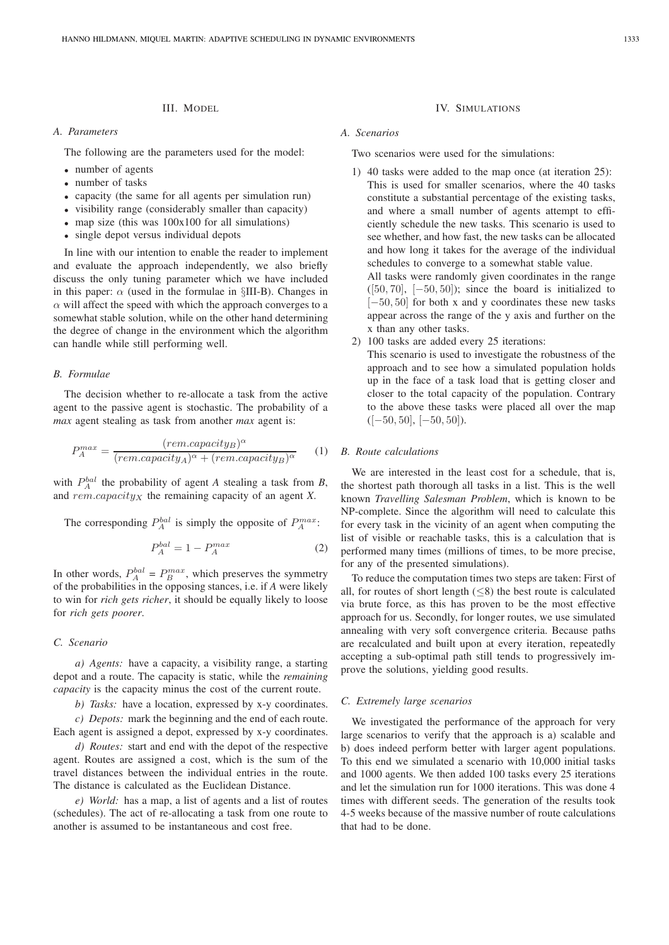# III. MODEL

# *A. Parameters*

The following are the parameters used for the model:

- number of agents
- number of tasks
- capacity (the same for all agents per simulation run)
- visibility range (considerably smaller than capacity)
- map size (this was  $100x100$  for all simulations)
- single depot versus individual depots

In line with our intention to enable the reader to implement and evaluate the approach independently, we also briefly discuss the only tuning parameter which we have included in this paper:  $\alpha$  (used in the formulae in §III-B). Changes in  $\alpha$  will affect the speed with which the approach converges to a somewhat stable solution, while on the other hand determining the degree of change in the environment which the algorithm can handle while still performing well.

## *B. Formulae*

The decision whether to re-allocate a task from the active agent to the passive agent is stochastic. The probability of a *max* agent stealing as task from another *max* agent is:

$$
P_A^{max} = \frac{(rem.capacity_B)^{\alpha}}{(rem.capacity_A)^{\alpha} + (rem.capacity_B)^{\alpha}} \tag{1}
$$

with  $P_A^{bal}$  the probability of agent *A* stealing a task from *B*, and  $rem.capacity_X$  the remaining capacity of an agent *X*.

The corresponding  $P_A^{bal}$  is simply the opposite of  $P_A^{max}$ .

$$
P_A^{bal} = 1 - P_A^{max} \tag{2}
$$

In other words,  $P_A^{bal} = P_B^{max}$ , which preserves the symmetry of the probabilities in the opposing stances, i.e. if *A* were likely to win for *rich gets richer*, it should be equally likely to loose for *rich gets poorer*.

## *C. Scenario*

*a) Agents:* have a capacity, a visibility range, a starting depot and a route. The capacity is static, while the *remaining capacity* is the capacity minus the cost of the current route.

*b) Tasks:* have a location, expressed by x-y coordinates.

*c) Depots:* mark the beginning and the end of each route. Each agent is assigned a depot, expressed by x-y coordinates.

*d) Routes:* start and end with the depot of the respective agent. Routes are assigned a cost, which is the sum of the travel distances between the individual entries in the route. The distance is calculated as the Euclidean Distance.

*e) World:* has a map, a list of agents and a list of routes (schedules). The act of re-allocating a task from one route to another is assumed to be instantaneous and cost free.

# IV. SIMULATIONS

# *A. Scenarios*

Two scenarios were used for the simulations:

1) 40 tasks were added to the map once (at iteration 25): This is used for smaller scenarios, where the 40 tasks constitute a substantial percentage of the existing tasks, and where a small number of agents attempt to efficiently schedule the new tasks. This scenario is used to see whether, and how fast, the new tasks can be allocated and how long it takes for the average of the individual schedules to converge to a somewhat stable value. All tasks were randomly given coordinates in the range

 $([50, 70], [-50, 50])$ ; since the board is initialized to [−50, 50] for both x and y coordinates these new tasks appear across the range of the y axis and further on the x than any other tasks.

2) 100 tasks are added every 25 iterations:

This scenario is used to investigate the robustness of the approach and to see how a simulated population holds up in the face of a task load that is getting closer and closer to the total capacity of the population. Contrary to the above these tasks were placed all over the map  $([-50, 50], [-50, 50]).$ 

## *B. Route calculations*

We are interested in the least cost for a schedule, that is, the shortest path thorough all tasks in a list. This is the well known *Travelling Salesman Problem*, which is known to be NP-complete. Since the algorithm will need to calculate this for every task in the vicinity of an agent when computing the list of visible or reachable tasks, this is a calculation that is performed many times (millions of times, to be more precise, for any of the presented simulations).

To reduce the computation times two steps are taken: First of all, for routes of short length  $(\leq 8)$  the best route is calculated via brute force, as this has proven to be the most effective approach for us. Secondly, for longer routes, we use simulated annealing with very soft convergence criteria. Because paths are recalculated and built upon at every iteration, repeatedly accepting a sub-optimal path still tends to progressively improve the solutions, yielding good results.

## *C. Extremely large scenarios*

We investigated the performance of the approach for very large scenarios to verify that the approach is a) scalable and b) does indeed perform better with larger agent populations. To this end we simulated a scenario with 10,000 initial tasks and 1000 agents. We then added 100 tasks every 25 iterations and let the simulation run for 1000 iterations. This was done 4 times with different seeds. The generation of the results took 4-5 weeks because of the massive number of route calculations that had to be done.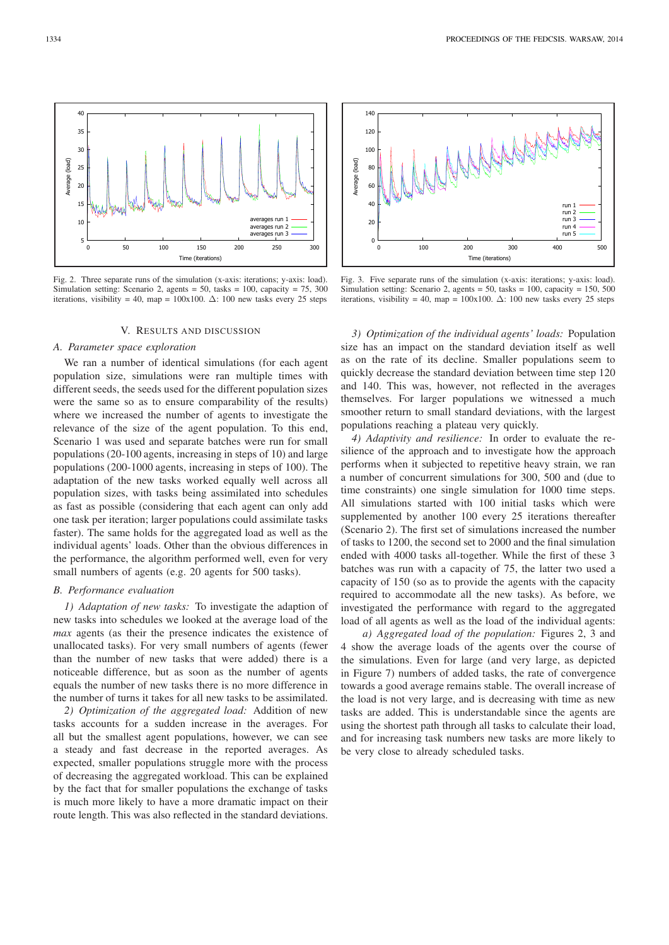

Fig. 2. Three separate runs of the simulation (x-axis: iterations; y-axis: load). Simulation setting: Scenario 2, agents = 50, tasks = 100, capacity = 75, 300 iterations, visibility = 40, map = 100x100.  $\Delta$ : 100 new tasks every 25 steps

## V. RESULTS AND DISCUSSION

#### *A. Parameter space exploration*

We ran a number of identical simulations (for each agent population size, simulations were ran multiple times with different seeds, the seeds used for the different population sizes were the same so as to ensure comparability of the results) where we increased the number of agents to investigate the relevance of the size of the agent population. To this end, Scenario 1 was used and separate batches were run for small populations (20-100 agents, increasing in steps of 10) and large populations (200-1000 agents, increasing in steps of 100). The adaptation of the new tasks worked equally well across all population sizes, with tasks being assimilated into schedules as fast as possible (considering that each agent can only add one task per iteration; larger populations could assimilate tasks faster). The same holds for the aggregated load as well as the individual agents' loads. Other than the obvious differences in the performance, the algorithm performed well, even for very small numbers of agents (e.g. 20 agents for 500 tasks).

## *B. Performance evaluation*

*1) Adaptation of new tasks:* To investigate the adaption of new tasks into schedules we looked at the average load of the *max* agents (as their the presence indicates the existence of unallocated tasks). For very small numbers of agents (fewer than the number of new tasks that were added) there is a noticeable difference, but as soon as the number of agents equals the number of new tasks there is no more difference in the number of turns it takes for all new tasks to be assimilated.

*2) Optimization of the aggregated load:* Addition of new tasks accounts for a sudden increase in the averages. For all but the smallest agent populations, however, we can see a steady and fast decrease in the reported averages. As expected, smaller populations struggle more with the process of decreasing the aggregated workload. This can be explained by the fact that for smaller populations the exchange of tasks is much more likely to have a more dramatic impact on their route length. This was also reflected in the standard deviations.



Fig. 3. Five separate runs of the simulation (x-axis: iterations; y-axis: load). Simulation setting: Scenario 2, agents = 50, tasks = 100, capacity = 150, 500 iterations, visibility = 40, map = 100x100.  $\Delta$ : 100 new tasks every 25 steps

*3) Optimization of the individual agents' loads:* Population size has an impact on the standard deviation itself as well as on the rate of its decline. Smaller populations seem to quickly decrease the standard deviation between time step 120 and 140. This was, however, not reflected in the averages themselves. For larger populations we witnessed a much smoother return to small standard deviations, with the largest populations reaching a plateau very quickly.

*4) Adaptivity and resilience:* In order to evaluate the resilience of the approach and to investigate how the approach performs when it subjected to repetitive heavy strain, we ran a number of concurrent simulations for 300, 500 and (due to time constraints) one single simulation for 1000 time steps. All simulations started with 100 initial tasks which were supplemented by another 100 every 25 iterations thereafter (Scenario 2). The first set of simulations increased the number of tasks to 1200, the second set to 2000 and the final simulation ended with 4000 tasks all-together. While the first of these 3 batches was run with a capacity of 75, the latter two used a capacity of 150 (so as to provide the agents with the capacity required to accommodate all the new tasks). As before, we investigated the performance with regard to the aggregated load of all agents as well as the load of the individual agents:

*a) Aggregated load of the population:* Figures 2, 3 and 4 show the average loads of the agents over the course of the simulations. Even for large (and very large, as depicted in Figure 7) numbers of added tasks, the rate of convergence towards a good average remains stable. The overall increase of the load is not very large, and is decreasing with time as new tasks are added. This is understandable since the agents are using the shortest path through all tasks to calculate their load, and for increasing task numbers new tasks are more likely to be very close to already scheduled tasks.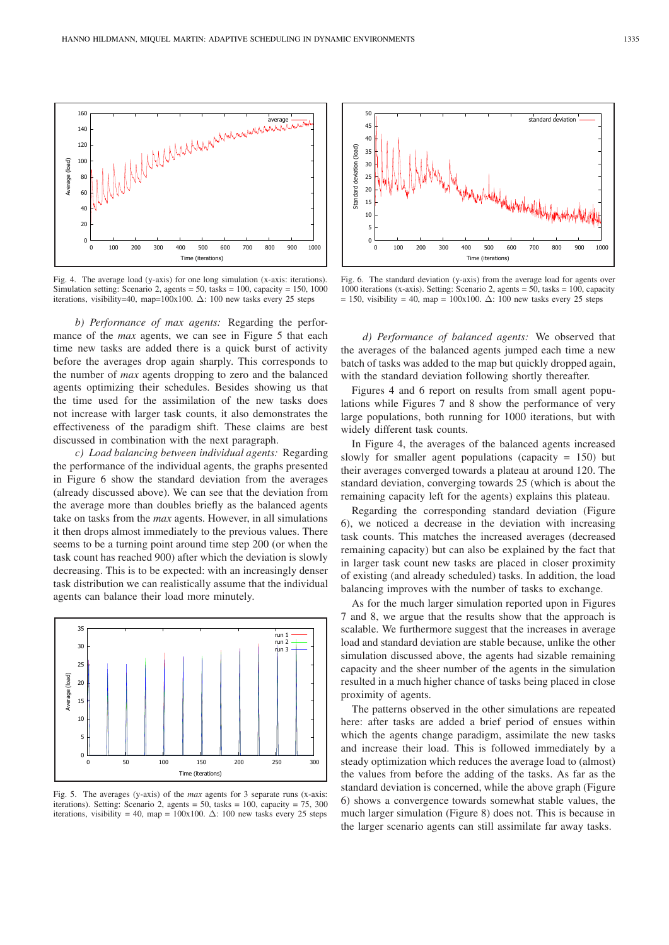

Fig. 4. The average load (y-axis) for one long simulation (x-axis: iterations). Simulation setting: Scenario 2, agents = 50, tasks = 100, capacity = 150, 1000 iterations, visibility=40, map=100x100.  $\Delta$ : 100 new tasks every 25 steps

*b) Performance of max agents:* Regarding the performance of the *max* agents, we can see in Figure 5 that each time new tasks are added there is a quick burst of activity before the averages drop again sharply. This corresponds to the number of *max* agents dropping to zero and the balanced agents optimizing their schedules. Besides showing us that the time used for the assimilation of the new tasks does not increase with larger task counts, it also demonstrates the effectiveness of the paradigm shift. These claims are best discussed in combination with the next paragraph.

*c) Load balancing between individual agents:* Regarding the performance of the individual agents, the graphs presented in Figure 6 show the standard deviation from the averages (already discussed above). We can see that the deviation from the average more than doubles briefly as the balanced agents take on tasks from the *max* agents. However, in all simulations it then drops almost immediately to the previous values. There seems to be a turning point around time step 200 (or when the task count has reached 900) after which the deviation is slowly decreasing. This is to be expected: with an increasingly denser task distribution we can realistically assume that the individual agents can balance their load more minutely.



Fig. 5. The averages (y-axis) of the *max* agents for 3 separate runs (x-axis: iterations). Setting: Scenario 2, agents = 50, tasks = 100, capacity = 75, 300 iterations, visibility = 40, map = 100x100.  $\Delta$ : 100 new tasks every 25 steps



Fig. 6. The standard deviation (y-axis) from the average load for agents over 1000 iterations (x-axis). Setting: Scenario 2, agents = 50, tasks = 100, capacity = 150, visibility = 40, map = 100x100.  $\Delta$ : 100 new tasks every 25 steps

*d) Performance of balanced agents:* We observed that the averages of the balanced agents jumped each time a new batch of tasks was added to the map but quickly dropped again, with the standard deviation following shortly thereafter.

Figures 4 and 6 report on results from small agent populations while Figures 7 and 8 show the performance of very large populations, both running for 1000 iterations, but with widely different task counts.

In Figure 4, the averages of the balanced agents increased slowly for smaller agent populations (capacity  $= 150$ ) but their averages converged towards a plateau at around 120. The standard deviation, converging towards 25 (which is about the remaining capacity left for the agents) explains this plateau.

Regarding the corresponding standard deviation (Figure 6), we noticed a decrease in the deviation with increasing task counts. This matches the increased averages (decreased remaining capacity) but can also be explained by the fact that in larger task count new tasks are placed in closer proximity of existing (and already scheduled) tasks. In addition, the load balancing improves with the number of tasks to exchange.

As for the much larger simulation reported upon in Figures 7 and 8, we argue that the results show that the approach is scalable. We furthermore suggest that the increases in average load and standard deviation are stable because, unlike the other simulation discussed above, the agents had sizable remaining capacity and the sheer number of the agents in the simulation resulted in a much higher chance of tasks being placed in close proximity of agents.

The patterns observed in the other simulations are repeated here: after tasks are added a brief period of ensues within which the agents change paradigm, assimilate the new tasks and increase their load. This is followed immediately by a steady optimization which reduces the average load to (almost) the values from before the adding of the tasks. As far as the standard deviation is concerned, while the above graph (Figure 6) shows a convergence towards somewhat stable values, the much larger simulation (Figure 8) does not. This is because in the larger scenario agents can still assimilate far away tasks.